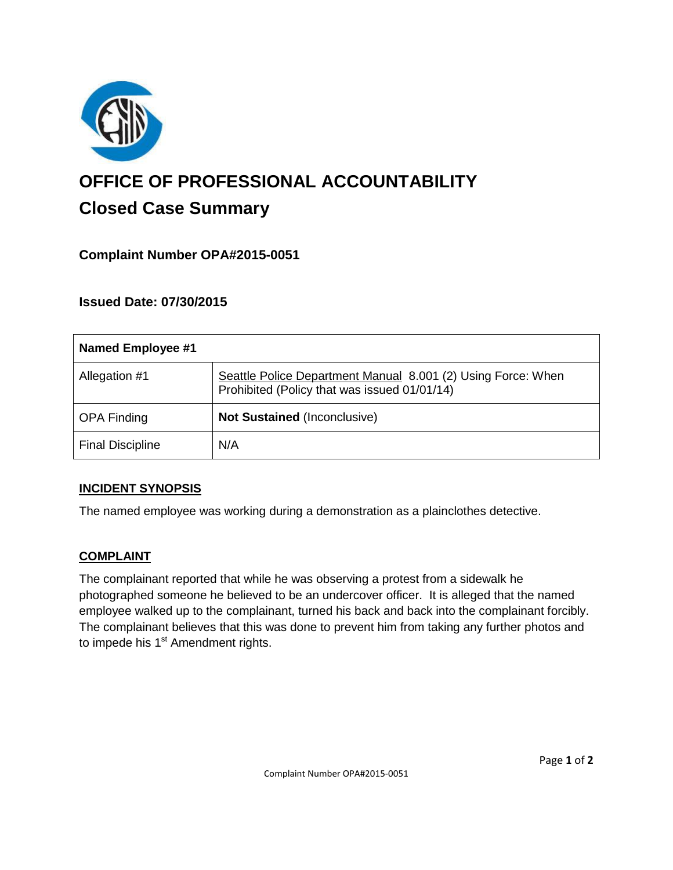

# **OFFICE OF PROFESSIONAL ACCOUNTABILITY Closed Case Summary**

# **Complaint Number OPA#2015-0051**

## **Issued Date: 07/30/2015**

| Named Employee #1       |                                                                                                              |
|-------------------------|--------------------------------------------------------------------------------------------------------------|
| Allegation #1           | Seattle Police Department Manual 8.001 (2) Using Force: When<br>Prohibited (Policy that was issued 01/01/14) |
| <b>OPA Finding</b>      | <b>Not Sustained (Inconclusive)</b>                                                                          |
| <b>Final Discipline</b> | N/A                                                                                                          |

## **INCIDENT SYNOPSIS**

The named employee was working during a demonstration as a plainclothes detective.

## **COMPLAINT**

The complainant reported that while he was observing a protest from a sidewalk he photographed someone he believed to be an undercover officer. It is alleged that the named employee walked up to the complainant, turned his back and back into the complainant forcibly. The complainant believes that this was done to prevent him from taking any further photos and to impede his 1<sup>st</sup> Amendment rights.